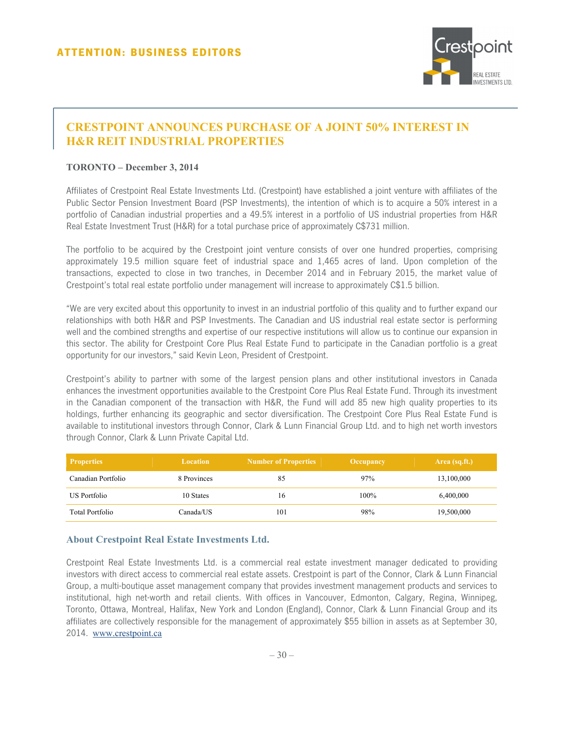

## **CRESTPOINT ANNOUNCES PURCHASE OF A JOINT 50% INTEREST IN H&R REIT INDUSTRIAL PROPERTIES**

## **TORONTO – December 3, 2014**

Affiliates of Crestpoint Real Estate Investments Ltd. (Crestpoint) have established a joint venture with affiliates of the Public Sector Pension Investment Board (PSP Investments), the intention of which is to acquire a 50% interest in a portfolio of Canadian industrial properties and a 49.5% interest in a portfolio of US industrial properties from H&R Real Estate Investment Trust (H&R) for a total purchase price of approximately C\$731 million.

The portfolio to be acquired by the Crestpoint joint venture consists of over one hundred properties, comprising approximately 19.5 million square feet of industrial space and 1,465 acres of land. Upon completion of the transactions, expected to close in two tranches, in December 2014 and in February 2015, the market value of Crestpoint's total real estate portfolio under management will increase to approximately C\$1.5 billion.

"We are very excited about this opportunity to invest in an industrial portfolio of this quality and to further expand our relationships with both H&R and PSP Investments. The Canadian and US industrial real estate sector is performing well and the combined strengths and expertise of our respective institutions will allow us to continue our expansion in this sector. The ability for Crestpoint Core Plus Real Estate Fund to participate in the Canadian portfolio is a great opportunity for our investors," said Kevin Leon, President of Crestpoint.

Crestpoint's ability to partner with some of the largest pension plans and other institutional investors in Canada enhances the investment opportunities available to the Crestpoint Core Plus Real Estate Fund. Through its investment in the Canadian component of the transaction with H&R, the Fund will add 85 new high quality properties to its holdings, further enhancing its geographic and sector diversification. The Crestpoint Core Plus Real Estate Fund is available to institutional investors through Connor, Clark & Lunn Financial Group Ltd. and to high net worth investors through Connor, Clark & Lunn Private Capital Ltd.

| <b>Properties</b>  | Location    | <b>Number of Properties</b> | <b>Occupancy</b> | Area (sq.ft.) |
|--------------------|-------------|-----------------------------|------------------|---------------|
| Canadian Portfolio | 8 Provinces | 85                          | 97%              | 13,100,000    |
| US Portfolio       | 10 States   | 16                          | 100%             | 6,400,000     |
| Total Portfolio    | Canada/US-  | 101                         | 98%              | 19,500,000    |

## **About Crestpoint Real Estate Investments Ltd.**

Crestpoint Real Estate Investments Ltd. is a commercial real estate investment manager dedicated to providing investors with direct access to commercial real estate assets. Crestpoint is part of the Connor, Clark & Lunn Financial Group, a multi-boutique asset management company that provides investment management products and services to institutional, high net-worth and retail clients. With offices in Vancouver, Edmonton, Calgary, Regina, Winnipeg, Toronto, Ottawa, Montreal, Halifax, New York and London (England), Connor, Clark & Lunn Financial Group and its affiliates are collectively responsible for the management of approximately \$55 billion in assets as at September 30, 2014. www.crestpoint.ca